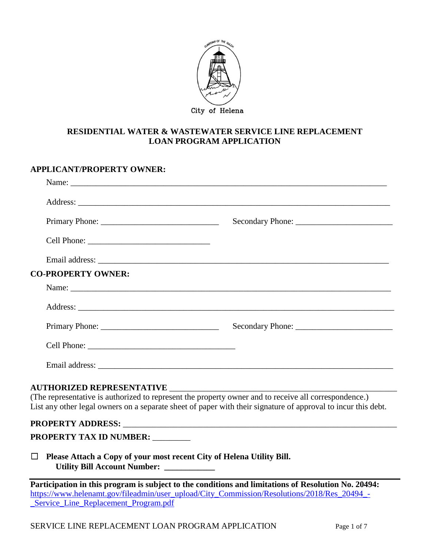

## **RESIDENTIAL WATER & WASTEWATER SERVICE LINE REPLACEMENT LOAN PROGRAM APPLICATION**

| <b>APPLICANT/PROPERTY OWNER:</b>                                                                                                                                                                                       |                                                                                                                                                                                                                                |  |  |
|------------------------------------------------------------------------------------------------------------------------------------------------------------------------------------------------------------------------|--------------------------------------------------------------------------------------------------------------------------------------------------------------------------------------------------------------------------------|--|--|
|                                                                                                                                                                                                                        |                                                                                                                                                                                                                                |  |  |
|                                                                                                                                                                                                                        |                                                                                                                                                                                                                                |  |  |
|                                                                                                                                                                                                                        |                                                                                                                                                                                                                                |  |  |
|                                                                                                                                                                                                                        |                                                                                                                                                                                                                                |  |  |
|                                                                                                                                                                                                                        |                                                                                                                                                                                                                                |  |  |
| <b>CO-PROPERTY OWNER:</b>                                                                                                                                                                                              |                                                                                                                                                                                                                                |  |  |
|                                                                                                                                                                                                                        |                                                                                                                                                                                                                                |  |  |
|                                                                                                                                                                                                                        |                                                                                                                                                                                                                                |  |  |
|                                                                                                                                                                                                                        |                                                                                                                                                                                                                                |  |  |
|                                                                                                                                                                                                                        |                                                                                                                                                                                                                                |  |  |
|                                                                                                                                                                                                                        |                                                                                                                                                                                                                                |  |  |
| (The representative is authorized to represent the property owner and to receive all correspondence.)<br>List any other legal owners on a separate sheet of paper with their signature of approval to incur this debt. |                                                                                                                                                                                                                                |  |  |
|                                                                                                                                                                                                                        | PROPERTY ADDRESS: New York Contract the Contract of the Contract of the Contract of the Contract of the Contract of the Contract of the Contract of the Contract of the Contract of the Contract of the Contract of the Contra |  |  |
| PROPERTY TAX ID NUMBER:                                                                                                                                                                                                |                                                                                                                                                                                                                                |  |  |
| Please Attach a Copy of your most recent City of Helena Utility Bill.<br>$\Box$<br>Utility Bill Account Number: __________                                                                                             |                                                                                                                                                                                                                                |  |  |
| Participation in this program is subject to the conditions and limitations of Resolution No. 20494:                                                                                                                    |                                                                                                                                                                                                                                |  |  |

[https://www.helenamt.gov/fileadmin/user\\_upload/City\\_Commission/Resolutions/2018/Res\\_20494\\_-](https://www.helenamt.gov/fileadmin/user_upload/City_Commission/Resolutions/2018/Res_20494_-_Service_Line_Replacement_Program.pdf) **Service\_Line\_Replacement\_Program.pdf**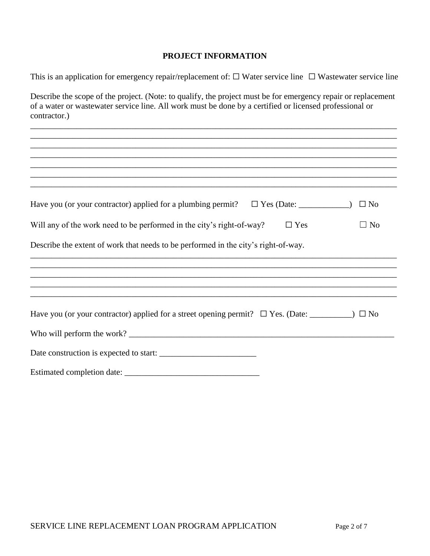## **PROJECT INFORMATION**

This is an application for emergency repair/replacement of:  $\Box$  Water service line  $\Box$  Wastewater service line

Describe the scope of the project. (Note: to qualify, the project must be for emergency repair or replacement of a water or wastewater service line. All work must be done by a certified or licensed professional or contractor.)

\_\_\_\_\_\_\_\_\_\_\_\_\_\_\_\_\_\_\_\_\_\_\_\_\_\_\_\_\_\_\_\_\_\_\_\_\_\_\_\_\_\_\_\_\_\_\_\_\_\_\_\_\_\_\_\_\_\_\_\_\_\_\_\_\_\_\_\_\_\_\_\_\_\_\_\_\_\_\_\_\_\_\_\_\_\_\_

| Have you (or your contractor) applied for a plumbing permit? $\Box$ Yes (Date: ____________)<br>$\Box$ No   |
|-------------------------------------------------------------------------------------------------------------|
| Will any of the work need to be performed in the city's right-of-way?<br>$\Box$ Yes<br>$\Box$ No            |
| Describe the extent of work that needs to be performed in the city's right-of-way.                          |
|                                                                                                             |
|                                                                                                             |
|                                                                                                             |
|                                                                                                             |
| Have you (or your contractor) applied for a street opening permit? $\Box$ Yes. (Date: __________) $\Box$ No |
|                                                                                                             |
|                                                                                                             |
|                                                                                                             |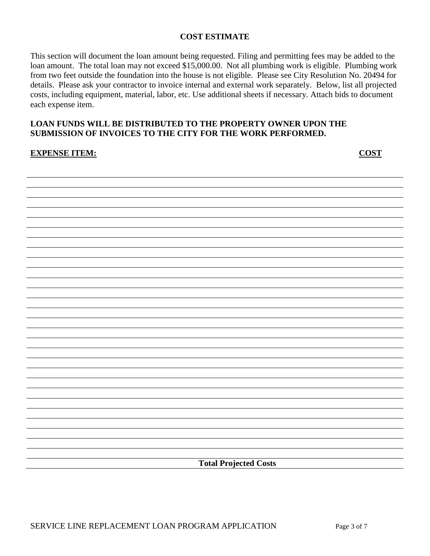## **COST ESTIMATE**

This section will document the loan amount being requested. Filing and permitting fees may be added to the loan amount. The total loan may not exceed \$15,000.00. Not all plumbing work is eligible. Plumbing work from two feet outside the foundation into the house is not eligible. Please see City Resolution No. 20494 for details. Please ask your contractor to invoice internal and external work separately. Below, list all projected costs, including equipment, material, labor, etc. Use additional sheets if necessary. Attach bids to document each expense item.

# **LOAN FUNDS WILL BE DISTRIBUTED TO THE PROPERTY OWNER UPON THE SUBMISSION OF INVOICES TO THE CITY FOR THE WORK PERFORMED.**

#### **EXPENSE ITEM: COST**

**Total Projected Costs**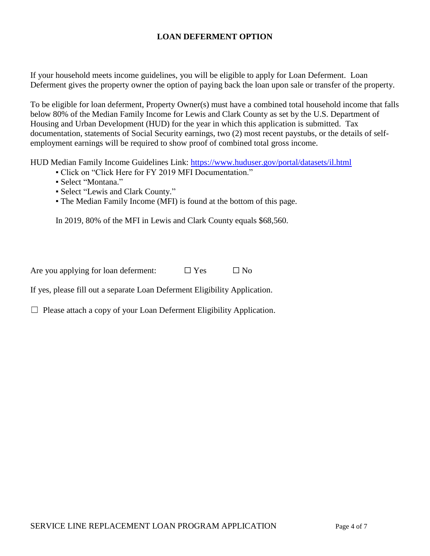# **LOAN DEFERMENT OPTION**

If your household meets income guidelines, you will be eligible to apply for Loan Deferment. Loan Deferment gives the property owner the option of paying back the loan upon sale or transfer of the property.

To be eligible for loan deferment, Property Owner(s) must have a combined total household income that falls below 80% of the Median Family Income for Lewis and Clark County as set by the U.S. Department of Housing and Urban Development (HUD) for the year in which this application is submitted. Tax documentation, statements of Social Security earnings, two (2) most recent paystubs, or the details of selfemployment earnings will be required to show proof of combined total gross income.

HUD Median Family Income Guidelines Link: <https://www.huduser.gov/portal/datasets/il.html>

- Click on "Click Here for FY 2019 MFI Documentation."
- Select "Montana."
- Select "Lewis and Clark County."
- The Median Family Income (MFI) is found at the bottom of this page.

In 2019, 80% of the MFI in Lewis and Clark County equals \$68,560.

Are you applying for loan deferment:  $\Box$  Yes  $\Box$  No

If yes, please fill out a separate Loan Deferment Eligibility Application.

☐ Please attach a copy of your Loan Deferment Eligibility Application.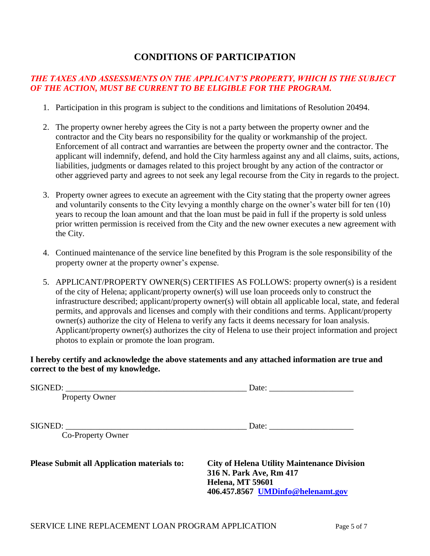# **CONDITIONS OF PARTICIPATION**

# *THE TAXES AND ASSESSMENTS ON THE APPLICANT'S PROPERTY, WHICH IS THE SUBJECT OF THE ACTION, MUST BE CURRENT TO BE ELIGIBLE FOR THE PROGRAM.*

- 1. Participation in this program is subject to the conditions and limitations of Resolution 20494.
- 2. The property owner hereby agrees the City is not a party between the property owner and the contractor and the City bears no responsibility for the quality or workmanship of the project. Enforcement of all contract and warranties are between the property owner and the contractor. The applicant will indemnify, defend, and hold the City harmless against any and all claims, suits, actions, liabilities, judgments or damages related to this project brought by any action of the contractor or other aggrieved party and agrees to not seek any legal recourse from the City in regards to the project.
- 3. Property owner agrees to execute an agreement with the City stating that the property owner agrees and voluntarily consents to the City levying a monthly charge on the owner's water bill for ten (10) years to recoup the loan amount and that the loan must be paid in full if the property is sold unless prior written permission is received from the City and the new owner executes a new agreement with the City.
- 4. Continued maintenance of the service line benefited by this Program is the sole responsibility of the property owner at the property owner's expense.
- 5. APPLICANT/PROPERTY OWNER(S) CERTIFIES AS FOLLOWS: property owner(s) is a resident of the city of Helena; applicant/property owner(s) will use loan proceeds only to construct the infrastructure described; applicant/property owner(s) will obtain all applicable local, state, and federal permits, and approvals and licenses and comply with their conditions and terms. Applicant/property owner(s) authorize the city of Helena to verify any facts it deems necessary for loan analysis. Applicant/property owner(s) authorizes the city of Helena to use their project information and project photos to explain or promote the loan program.

## **I hereby certify and acknowledge the above statements and any attached information are true and correct to the best of my knowledge.**

| SIGNED:                                            |  |  |
|----------------------------------------------------|--|--|
|                                                    |  |  |
|                                                    |  |  |
| SIGNED:<br>Date: $\qquad \qquad$                   |  |  |
|                                                    |  |  |
|                                                    |  |  |
| <b>City of Helena Utility Maintenance Division</b> |  |  |
| 316 N. Park Ave, Rm 417<br>Helena, MT 59601        |  |  |
| 406.457.8567 UMDinfo@helenamt.gov                  |  |  |
|                                                    |  |  |
|                                                    |  |  |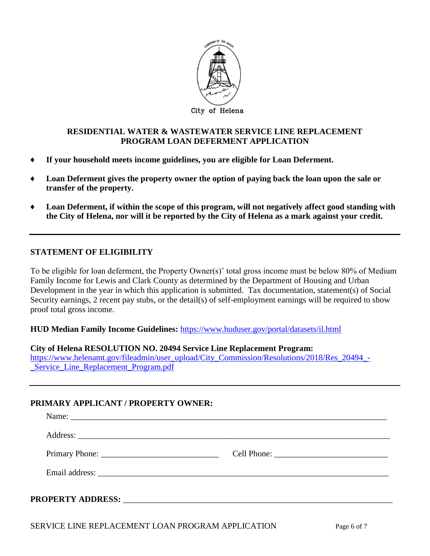

#### **RESIDENTIAL WATER & WASTEWATER SERVICE LINE REPLACEMENT PROGRAM LOAN DEFERMENT APPLICATION**

- **♦ If your household meets income guidelines, you are eligible for Loan Deferment.**
- **♦ Loan Deferment gives the property owner the option of paying back the loan upon the sale or transfer of the property.**
- **♦ Loan Deferment, if within the scope of this program, will not negatively affect good standing with the City of Helena, nor will it be reported by the City of Helena as a mark against your credit.**

## **STATEMENT OF ELIGIBILITY**

To be eligible for loan deferment, the Property Owner(s)' total gross income must be below 80% of Medium Family Income for Lewis and Clark County as determined by the Department of Housing and Urban Development in the year in which this application is submitted. Tax documentation, statement(s) of Social Security earnings, 2 recent pay stubs, or the detail(s) of self-employment earnings will be required to show proof total gross income.

**HUD Median Family Income Guidelines:** <https://www.huduser.gov/portal/datasets/il.html>

#### **City of Helena RESOLUTION NO. 20494 Service Line Replacement Program:**

[https://www.helenamt.gov/fileadmin/user\\_upload/City\\_Commission/Resolutions/2018/Res\\_20494\\_-](https://www.helenamt.gov/fileadmin/user_upload/City_Commission/Resolutions/2018/Res_20494_-_Service_Line_Replacement_Program.pdf) [\\_Service\\_Line\\_Replacement\\_Program.pdf](https://www.helenamt.gov/fileadmin/user_upload/City_Commission/Resolutions/2018/Res_20494_-_Service_Line_Replacement_Program.pdf)

# **PRIMARY APPLICANT / PROPERTY OWNER:**